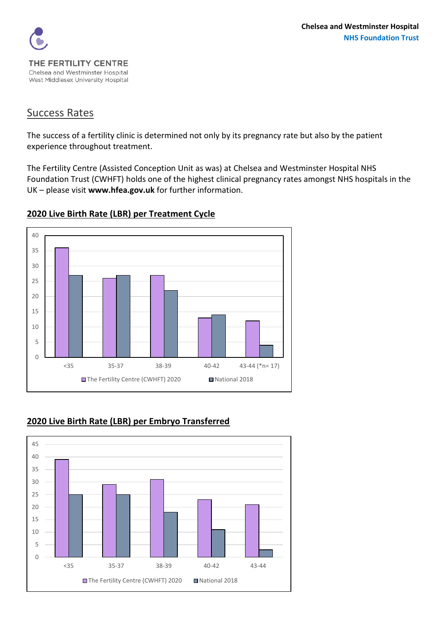

### Success Rates

The success of a fertility clinic is determined not only by its pregnancy rate but also by the patient experience throughout treatment.

The Fertility Centre (Assisted Conception Unit as was) at Chelsea and Westminster Hospital NHS Foundation Trust (CWHFT) holds one of the highest clinical pregnancy rates amongst NHS hospitals in the UK – please visit **[www.hfea.gov.uk](http://www.hfea.gov.uk/)** for further information.



### **Live Birth Rate (LBR) per Treatment Cycle**

## **Live Birth Rate (LBR) per Embryo Transferred**

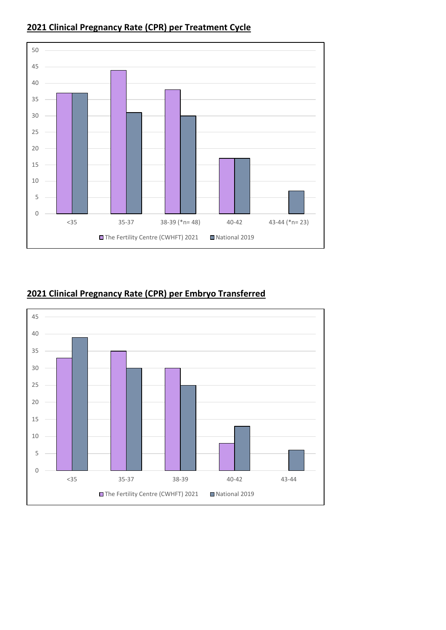

## **Clinical Pregnancy Rate (CPR) per Treatment Cycle**

# **Clinical Pregnancy Rate (CPR) per Embryo Transferred**